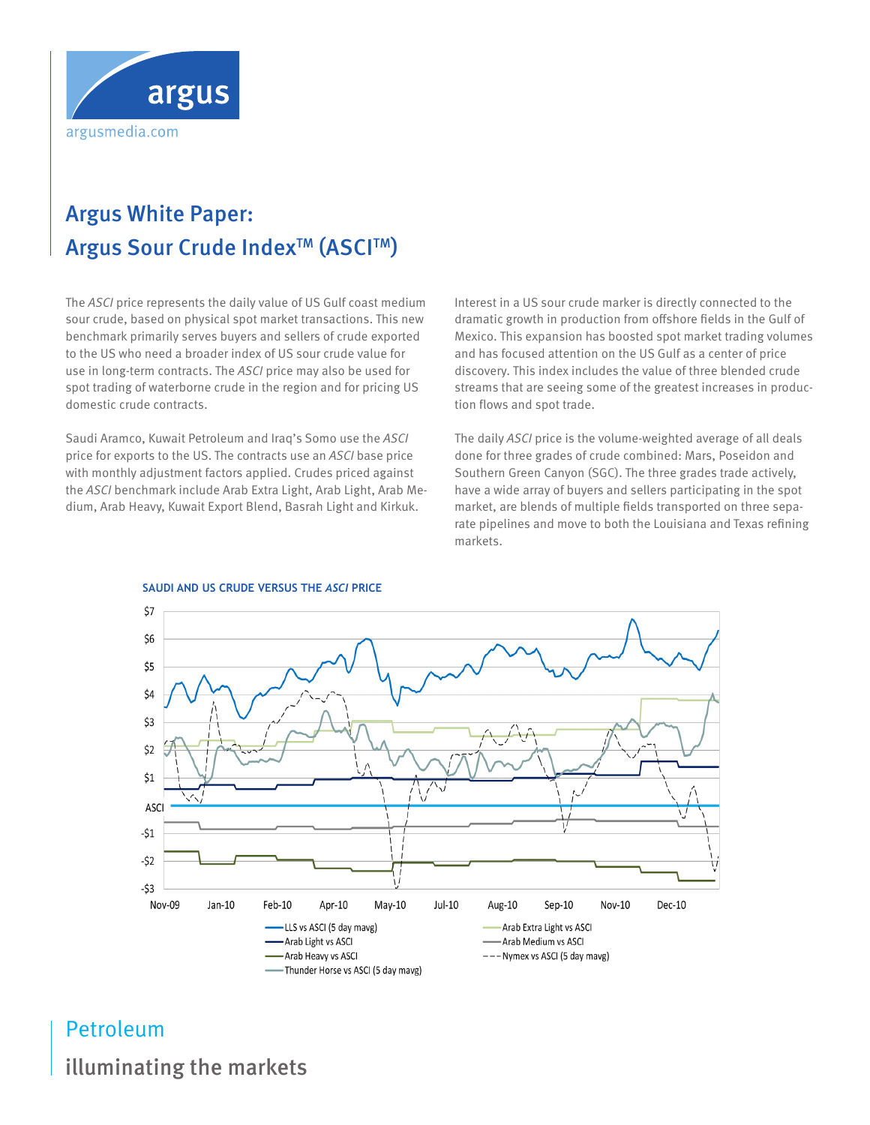

## Argus White Paper: Argus Sour Crude Index™ (ASCI™)

The ASCI price represents the daily value of US Gulf coast medium sour crude, based on physical spot market transactions. This new benchmark primarily serves buyers and sellers of crude exported to the US who need a broader index of US sour crude value for use in long-term contracts. The ASCI price may also be used for spot trading of waterborne crude in the region and for pricing US domestic crude contracts.

Saudi Aramco, Kuwait Petroleum and Iraq's Somo use the ASCI price for exports to the US. The contracts use an ASCI base price with monthly adjustment factors applied. Crudes priced against the ASCI benchmark include Arab Extra Light, Arab Light, Arab Medium, Arab Heavy, Kuwait Export Blend, Basrah Light and Kirkuk.

Interest in a US sour crude marker is directly connected to the dramatic growth in production from offshore fields in the Gulf of Mexico. This expansion has boosted spot market trading volumes and has focused attention on the US Gulf as a center of price discovery. This index includes the value of three blended crude streams that are seeing some of the greatest increases in production flows and spot trade.

The daily ASCI price is the volume-weighted average of all deals done for three grades of crude combined: Mars, Poseidon and Southern Green Canyon (SGC). The three grades trade actively, have a wide array of buyers and sellers participating in the spot market, are blends of multiple fields transported on three separate pipelines and move to both the Louisiana and Texas refining markets.



### **SAUDI AND US CRUDE VERSUS THE** *ASCI* **PRICE**

# Petroleum illuminating the markets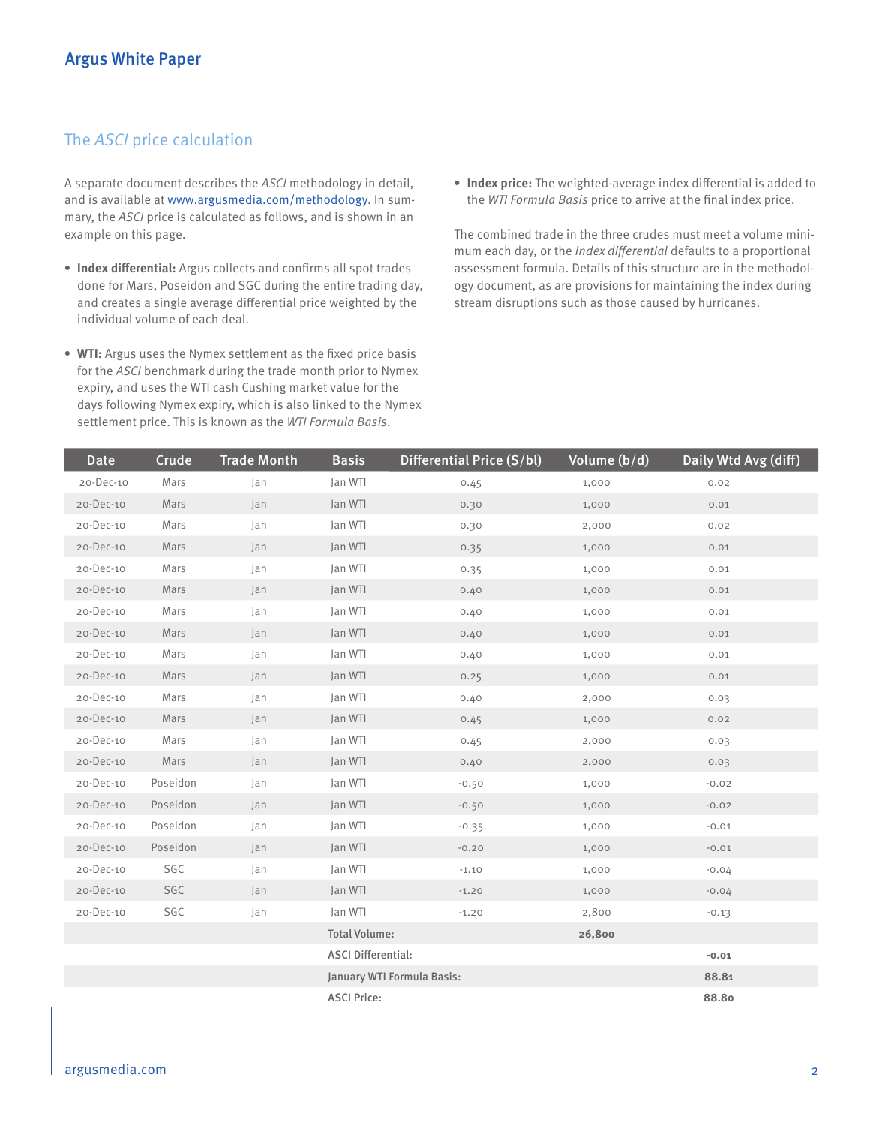### The ASCI price calculation

A separate document describes the ASCI methodology in detail, and is available at www.argusmedia.com/methodology. In summary, the ASCI price is calculated as follows, and is shown in an example on this page.

- **• Index differential:** Argus collects and confirms all spot trades done for Mars, Poseidon and SGC during the entire trading day, and creates a single average differential price weighted by the individual volume of each deal.
- **• WTI:** Argus uses the Nymex settlement as the fixed price basis for the ASCI benchmark during the trade month prior to Nymex expiry, and uses the WTI cash Cushing market value for the days following Nymex expiry, which is also linked to the Nymex settlement price. This is known as the WTI Formula Basis.

**• Index price:** The weighted-average index differential is added to the WTI Formula Basis price to arrive at the final index price.

The combined trade in the three crudes must meet a volume minimum each day, or the index differential defaults to a proportional assessment formula. Details of this structure are in the methodology document, as are provisions for maintaining the index during stream disruptions such as those caused by hurricanes.

| <b>Date</b>                | Crude    | <b>Trade Month</b> | <b>Basis</b>              | Differential Price (\$/bl) | Volume (b/d) | Daily Wtd Avg (diff) |
|----------------------------|----------|--------------------|---------------------------|----------------------------|--------------|----------------------|
| 20-Dec-10                  | Mars     | Jan                | Jan WTI                   | 0.45                       | 1,000        | 0.02                 |
| 20-Dec-10                  | Mars     | Jan                | Jan WTI                   | 0.30                       | 1,000        | 0.01                 |
| 20-Dec-10                  | Mars     | Jan                | Jan WTI                   | 0.30                       | 2,000        | 0.02                 |
| 20-Dec-10                  | Mars     | Jan                | Jan WTI                   | 0.35                       | 1,000        | 0.01                 |
| 20-Dec-10                  | Mars     | Jan                | Jan WTI                   | 0.35                       | 1,000        | 0.01                 |
| 20-Dec-10                  | Mars     | Jan                | Jan WTI                   | 0.40                       | 1,000        | 0.01                 |
| 20-Dec-10                  | Mars     | Jan                | Jan WTI                   | 0.40                       | 1,000        | 0.01                 |
| 20-Dec-10                  | Mars     | Jan                | Jan WTI                   | 0.40                       | 1,000        | 0.01                 |
| 20-Dec-10                  | Mars     | Jan                | Jan WTI                   | 0.40                       | 1,000        | 0.01                 |
| 20-Dec-10                  | Mars     | Jan                | Jan WTI                   | 0.25                       | 1,000        | 0.01                 |
| 20-Dec-10                  | Mars     | Jan                | Jan WTI                   | 0.40                       | 2,000        | 0.03                 |
| 20-Dec-10                  | Mars     | Jan                | Jan WTI                   | 0.45                       | 1,000        | 0.02                 |
| 20-Dec-10                  | Mars     | Jan                | Jan WTI                   | 0.45                       | 2,000        | 0.03                 |
| 20-Dec-10                  | Mars     | Jan                | Jan WTI                   | 0.40                       | 2,000        | 0.03                 |
| 20-Dec-10                  | Poseidon | Jan                | Jan WTI                   | $-0.50$                    | 1,000        | $-0.02$              |
| 20-Dec-10                  | Poseidon | Jan                | Jan WTI                   | $-0.50$                    | 1,000        | $-0.02$              |
| 20-Dec-10                  | Poseidon | Jan                | Jan WTI                   | $-0.35$                    | 1,000        | $-0.01$              |
| 20-Dec-10                  | Poseidon | Jan                | Jan WTI                   | $-0.20$                    | 1,000        | $-0.01$              |
| 20-Dec-10                  | SGC      | Jan                | Jan WTI                   | $-1.10$                    | 1,000        | $-0.04$              |
| 20-Dec-10                  | SGC      | Jan                | Jan WTI                   | $-1.20$                    | 1,000        | $-0.04$              |
| 20-Dec-10                  | SGC      | Jan                | Jan WTI                   | $-1.20$                    | 2,800        | $-0.13$              |
|                            |          |                    | <b>Total Volume:</b>      |                            | 26,800       |                      |
|                            |          |                    | <b>ASCI Differential:</b> |                            |              | $-0.01$              |
| January WTI Formula Basis: |          |                    |                           |                            |              | 88.81                |
|                            |          |                    | <b>ASCI Price:</b>        |                            |              | 88.80                |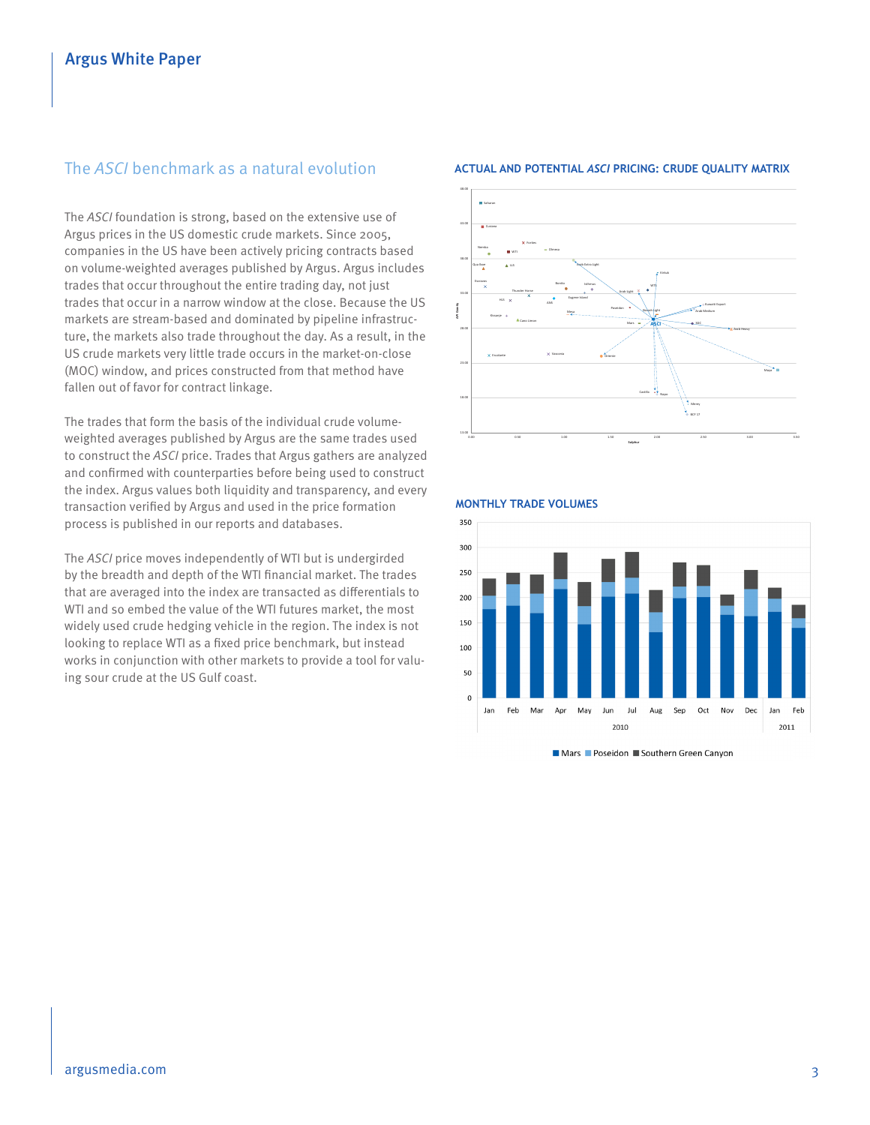### The ASCI benchmark as a natural evolution

The ASCI foundation is strong, based on the extensive use of Argus prices in the US domestic crude markets. Since 2005, companies in the US have been actively pricing contracts based on volume-weighted averages published by Argus. Argus includes trades that occur throughout the entire trading day, not just trades that occur in a narrow window at the close. Because the US markets are stream-based and dominated by pipeline infrastructure, the markets also trade throughout the day. As a result, in the US crude markets very little trade occurs in the market-on-close (MOC) window, and prices constructed from that method have fallen out of favor for contract linkage.

The trades that form the basis of the individual crude volumeweighted averages published by Argus are the same trades used to construct the ASCI price. Trades that Argus gathers are analyzed and confirmed with counterparties before being used to construct the index. Argus values both liquidity and transparency, and every transaction verified by Argus and used in the price formation process is published in our reports and databases.

The ASCI price moves independently of WTI but is undergirded by the breadth and depth of the WTI financial market. The trades that are averaged into the index are transacted as differentials to WTI and so embed the value of the WTI futures market, the most widely used crude hedging vehicle in the region. The index is not looking to replace WTI as a fixed price benchmark, but instead works in conjunction with other markets to provide a tool for valuing sour crude at the US Gulf coast.







**MONTHLY TRADE VOLUMES**

Mars Poseidon Southern Green Canyon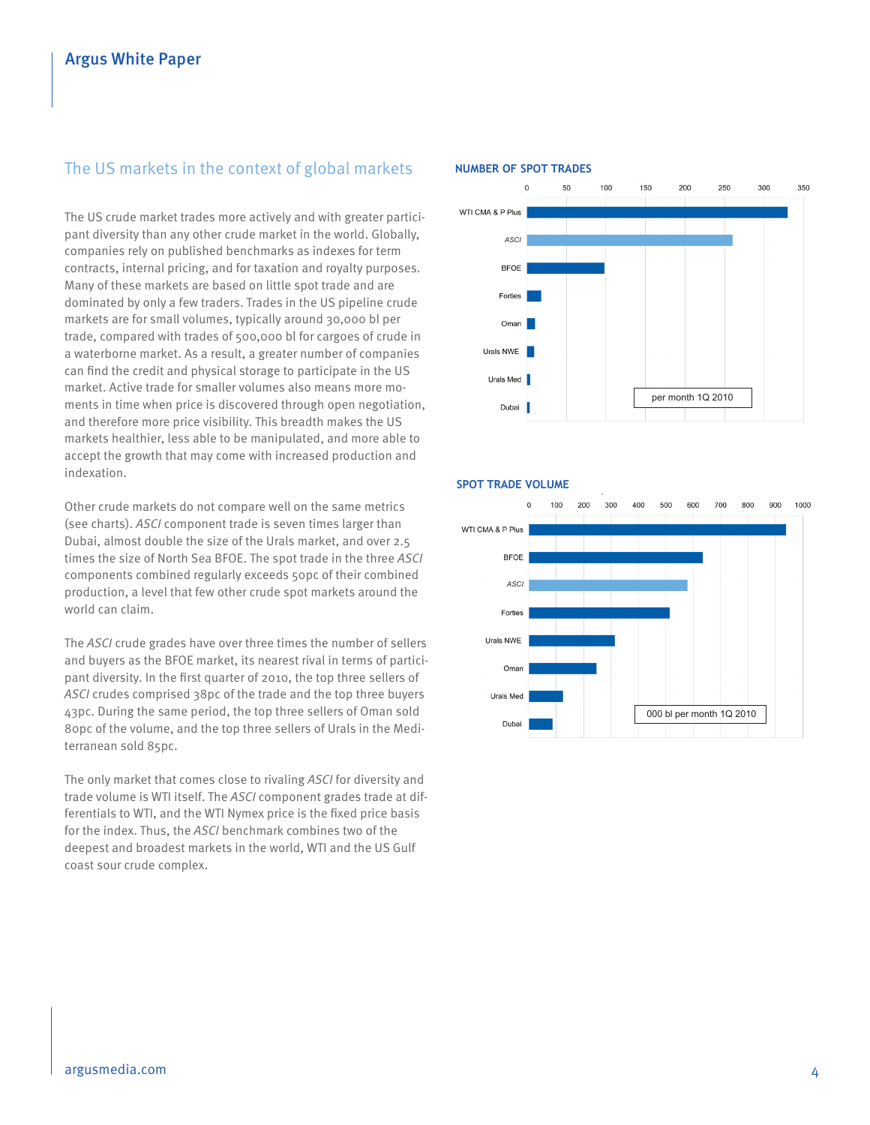### The US markets in the context of global markets

The US crude market trades more actively and with greater participant diversity than any other crude market in the world. Globally, companies rely on published benchmarks as indexes for term contracts, internal pricing, and for taxation and royalty purposes. Many of these markets are based on little spot trade and are dominated by only a few traders. Trades in the US pipeline crude markets are for small volumes, typically around 30,000 bl per trade, compared with trades of 500,000 bl for cargoes of crude in a waterborne market. As a result, a greater number of companies can find the credit and physical storage to participate in the US market. Active trade for smaller volumes also means more moments in time when price is discovered through open negotiation, and therefore more price visibility. This breadth makes the US markets healthier, less able to be manipulated, and more able to accept the growth that may come with increased production and indexation.

Other crude markets do not compare well on the same metrics (see charts). ASCI component trade is seven times larger than Dubai, almost double the size of the Urals market, and over 2.5 times the size of North Sea BFOE. The spot trade in the three ASCI components combined regularly exceeds 50pc of their combined production, a level that few other crude spot markets around the world can claim.

The ASCI crude grades have over three times the number of sellers and buyers as the BFOE market, its nearest rival in terms of participant diversity. In the first quarter of 2010, the top three sellers of ASCI crudes comprised 38pc of the trade and the top three buyers 43pc. During the same period, the top three sellers of Oman sold 80pc of the volume, and the top three sellers of Urals in the Mediterranean sold 85pc.

The only market that comes close to rivaling ASCI for diversity and trade volume is WTI itself. The ASCI component grades trade at differentials to WTI, and the WTI Nymex price is the fixed price basis for the index. Thus, the ASCI benchmark combines two of the deepest and broadest markets in the world, WTI and the US Gulf coast sour crude complex.

#### **NUMBER OF SPOT TRADES**



#### **SPOT TRADE VOLUME**

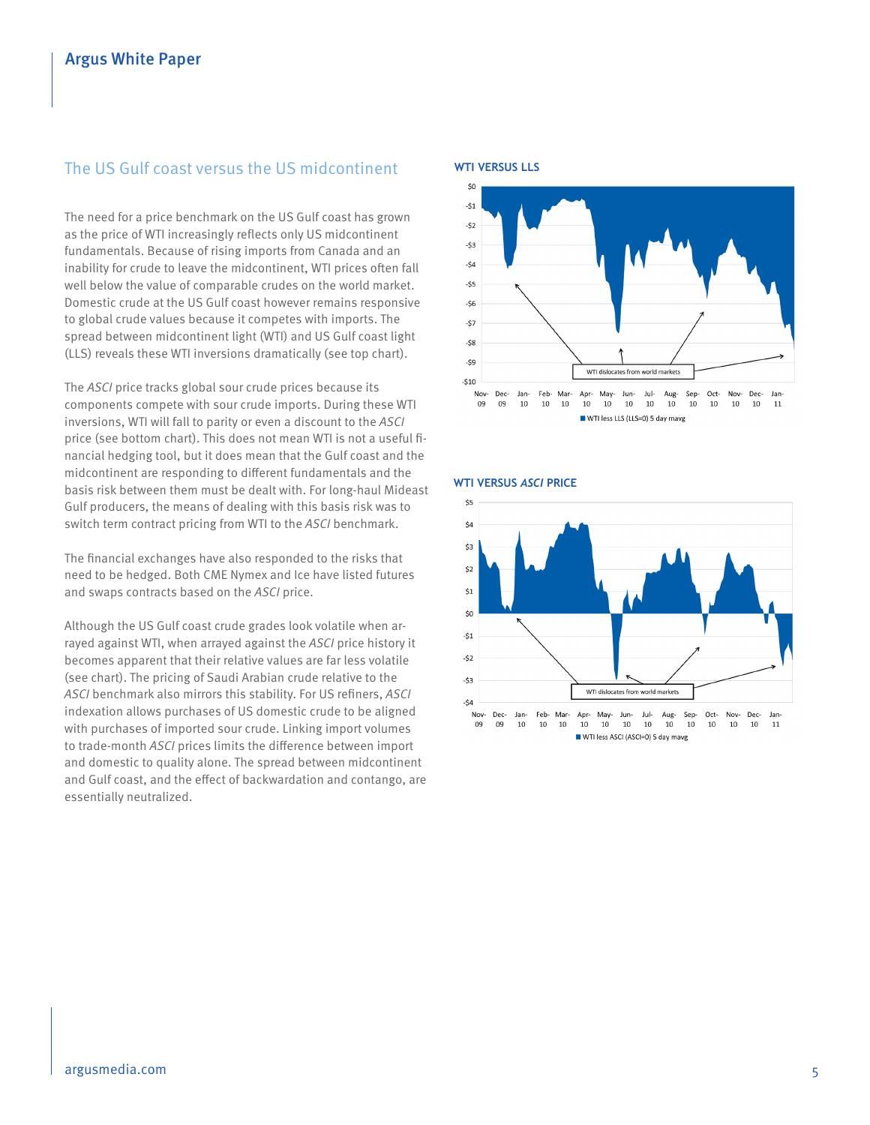### The US Gulf coast versus the US midcontinent

The need for a price benchmark on the US Gulf coast has grown as the price of WTI increasingly reflects only US midcontinent fundamentals. Because of rising imports from Canada and an inability for crude to leave the midcontinent, WTI prices often fall well below the value of comparable crudes on the world market. Domestic crude at the US Gulf coast however remains responsive to global crude values because it competes with imports. The spread between midcontinent light (WTI) and US Gulf coast light (LLS) reveals these WTI inversions dramatically (see top chart).

The ASCI price tracks global sour crude prices because its components compete with sour crude imports. During these WTI inversions, WTI will fall to parity or even a discount to the ASCI price (see bottom chart). This does not mean WTI is not a useful financial hedging tool, but it does mean that the Gulf coast and the midcontinent are responding to different fundamentals and the basis risk between them must be dealt with. For long-haul Mideast Gulf producers, the means of dealing with this basis risk was to switch term contract pricing from WTI to the ASCI benchmark.

The financial exchanges have also responded to the risks that need to be hedged. Both CME Nymex and Ice have listed futures and swaps contracts based on the ASCI price.

Although the US Gulf coast crude grades look volatile when arrayed against WTI, when arrayed against the ASCI price history it becomes apparent that their relative values are far less volatile (see chart). The pricing of Saudi Arabian crude relative to the ASCI benchmark also mirrors this stability. For US refiners, ASCI indexation allows purchases of US domestic crude to be aligned with purchases of imported sour crude. Linking import volumes to trade-month ASCI prices limits the difference between import and domestic to quality alone. The spread between midcontinent and Gulf coast, and the effect of backwardation and contango, are essentially neutralized.

#### **WTI VERSUS LLS**





### **WTI VERSUS** *ASCI* **PRICE**